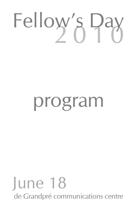# Fellow's Day

# program

## June 18 de Grandpré communications centre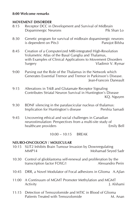#### **8:00 Welcome remarks**

#### **MOVEMENT DISORDER**

- 8:15 Receptor DCC in Development and Survival of Midbrain Dopaminergic Neurons **Pik Shan Lo**
- 8:30 Genetic program for survival of midbrain dopaminergic neurons is dependent on Pitx3 Panojot Bifsha
- 8:45 Creation of a Computerized MRI-integrated High-Resolution Volumetric Atlas of the Basal Ganglia and Thalamus, with Examples of Clinical Applications to Movement Disorders Surgery **Vladimir V. Rymar**
- 9:00 Parsing out the Role of the Thalamus in the Network which Generates Essential Tremor and Tremor in Parkinson's Disease. Jean-Francois Daneault
- 9:15 Alterations in TrkB and Glutamate Receptor Signaling Contributes Striatal Neuron Survival in Huntington's Disease KQ. Nguyen
- 9:30 BDNF silencing in the parafascicular nucleus of thalamus: Implication for Huntington's disease Pershia Samadi
- 9:45 Uncovering ethical and social challenges in Canadian neurostimulation: Perspectives from a multi-site study of healthcare providers **Emily Bell**

10:00 – 10:15 BREAK

#### **NEURO-ONCOLOGY / MOLECULAR**

- 10:15 SLIT2 Inhibits Brain Tumour Invasion by Downregulating MMP14 Mohamad Seyed Sadr
- 10:30 Control of glioblastoma self-renewal and proliferation by the transcription factor FOXG1 Alessandro Perin
- 10:45 DRR, a Novel Modulator of Focal adhesions in Glioma A.Ajlan
- 11:00 A Continuum of MGMT Promoter Methylation and MGMT Activity J. Alshami
- 11:15 Detection of Temozolomide and MTIC in Blood of Glioma Patients Treated with Temozolomide M. Anan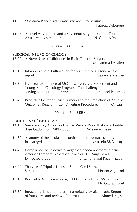11:30 Mechanical Properties of Human Brain and Tumour Tissues

Patricia Debergue

11:45 A novel way to train and assess neurosurgeons: NeuroTouch, a<br>virtual reality simulator **N** Gelinas-Phaneuf virtual reality simulator

 $12:00 - 1:00$  LUNCH

#### **SURGICAL NEURO-ONCOLOGY**

- 13:00 A Novel Use of Milrinone in Brain Tumour Surgery Mohammad Altaleb
- 13:15 Intraoperative 3D ultrasound for brain tumor surgery: a case report Laurence Mercier
- 13:30 Five-year experience of McGill University's Adolescent and Young Adult Oncology Program - The challenge of serving a unique, underserved population Michael Palumbo
- 13:45 Paediatric Posterior Fossa Tumors and the Prediction of Adverse Outcomes Regarding CSF Diverting Procedures **O. Lasry**

 $14:00 - 14:15$  BRFAK

#### **FUNCTIONAL / VASCULAR**

- 14:15 Vena basalis ; A new look at the Vein of Rosenthal with double<br>dose Gadolinium MRI study<br>Wisam Al Issawi dose Gadolinium MRI study
- 14:30 Anatomy of the insula and surgical planning: tractography of insular gyri **Marcelo M. Valença** Marcelo M. Valença
- 14:45 Comparison of Selective Amygdalohippocampectomy Versus Anterior Temporal Resection in Mesial TLE Surgery – a DTI-based Study Ehsan Sherafat Kazem Zadeh
- 15:00 The Use of Tripolar Leads in Spinal Cord Stimulation, Initial Series Hosam Al-Jehani
- 15:15 Reversible Neuropsychological Deficits in Dural AV Fistulas Dr. Gaurav Goel
- 15:30 Intracranial blister aneurysms: ambiguity awaited truth. Report of four cases and review of literature Ahmed Al Iishi